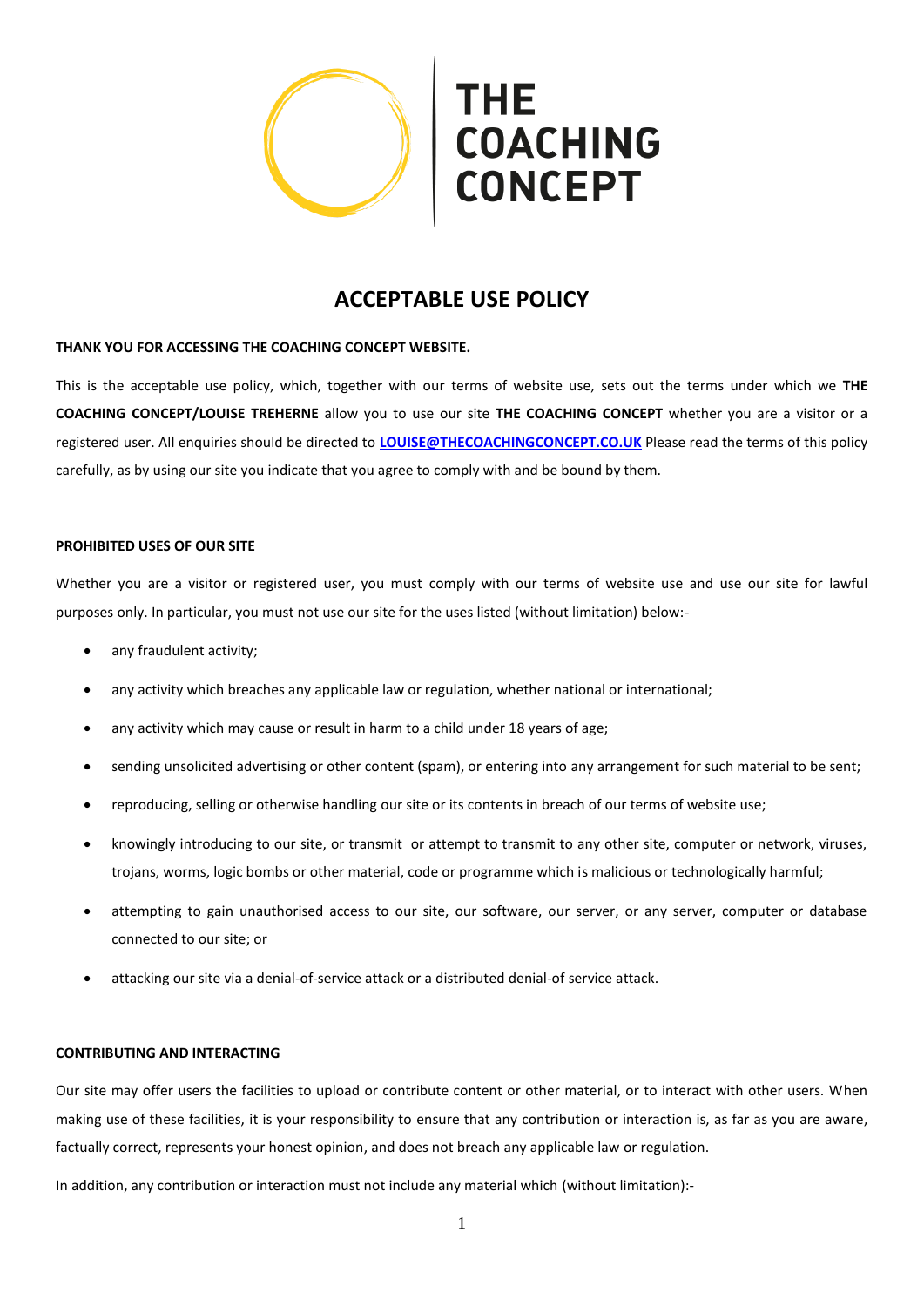

# **ACCEPTABLE USE POLICY**

# **THANK YOU FOR ACCESSING THE COACHING CONCEPT WEBSITE.**

This is the acceptable use policy, which, together with our terms of website use, sets out the terms under which we **THE COACHING CONCEPT/LOUISE TREHERNE** allow you to use our site **THE COACHING CONCEPT** whether you are a visitor or a registered user. All enquiries should be directed to **[LOUISE@THECOACHINGCONCEPT.CO.UK](mailto:louise@thecoachingconcept.co.uk)** Please read the terms of this policy carefully, as by using our site you indicate that you agree to comply with and be bound by them.

#### **PROHIBITED USES OF OUR SITE**

Whether you are a visitor or registered user, you must comply with our terms of website use and use our site for lawful purposes only. In particular, you must not use our site for the uses listed (without limitation) below:-

- any fraudulent activity;
- any activity which breaches any applicable law or regulation, whether national or international;
- any activity which may cause or result in harm to a child under 18 years of age;
- sending unsolicited advertising or other content (spam), or entering into any arrangement for such material to be sent;
- reproducing, selling or otherwise handling our site or its contents in breach of our terms of website use;
- knowingly introducing to our site, or transmit or attempt to transmit to any other site, computer or network, viruses, trojans, worms, logic bombs or other material, code or programme which is malicious or technologically harmful;
- attempting to gain unauthorised access to our site, our software, our server, or any server, computer or database connected to our site; or
- attacking our site via a denial-of-service attack or a distributed denial-of service attack.

# **CONTRIBUTING AND INTERACTING**

Our site may offer users the facilities to upload or contribute content or other material, or to interact with other users. When making use of these facilities, it is your responsibility to ensure that any contribution or interaction is, as far as you are aware, factually correct, represents your honest opinion, and does not breach any applicable law or regulation.

In addition, any contribution or interaction must not include any material which (without limitation):-